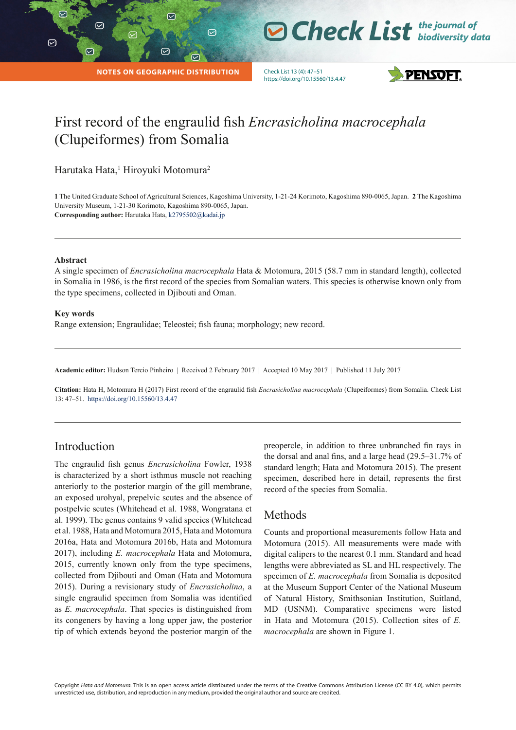$\triangledown$ 

 $\heartsuit$ 

# **O Check List** the journal of

**NOTES ON GEOGRAPHIC DISTRIBUTION**

 $\varpi$ 

 $\odot$ 

 $\heartsuit$ 

Check List 13 (4): 47–51 https://doi.org/10.15560/13.4.47



# First record of the engraulid fish *Encrasicholina macrocephala* (Clupeiformes) from Somalia

Harutaka Hata,<sup>1</sup> Hiroyuki Motomura<sup>2</sup>

**1** The United Graduate School of Agricultural Sciences, Kagoshima University, 1-21-24 Korimoto, Kagoshima 890-0065, Japan. **2** The Kagoshima University Museum, 1-21-30 Korimoto, Kagoshima 890-0065, Japan. **Corresponding author:** Harutaka Hata, [k2795502@kadai.jp](mailto:k2795502%40kadai.jp?subject=)

#### **Abstract**

A single specimen of *Encrasicholina macrocephala* Hata & Motomura, 2015 (58.7 mm in standard length), collected in Somalia in 1986, is the first record of the species from Somalian waters. This species is otherwise known only from the type specimens, collected in Djibouti and Oman.

#### **Key words**

Range extension; Engraulidae; Teleostei; fish fauna; morphology; new record.

**Academic editor:** Hudson Tercio Pinheiro | Received 2 February 2017 | Accepted 10 May 2017 | Published 11 July 2017

**Citation:** Hata H, Motomura H (2017) First record of the engraulid fish *Encrasicholina macrocephala* (Clupeiformes) from Somalia. Check List 13: 47–51. https://doi.org/10.15560/13.4.47

# Introduction

The engraulid fish genus *Encrasicholina* Fowler, 1938 is characterized by a short isthmus muscle not reaching anteriorly to the posterior margin of the gill membrane, an exposed urohyal, prepelvic scutes and the absence of postpelvic scutes (Whitehead et al. 1988, Wongratana et al. 1999). The genus contains 9 valid species (Whitehead et al. 1988, Hata and Motomura 2015, Hata and Motomura 2016a, Hata and Motomura 2016b, Hata and Motomura 2017), including *E. macrocephala* Hata and Motomura, 2015, currently known only from the type specimens, collected from Djibouti and Oman (Hata and Motomura 2015). During a revisionary study of *Encrasicholina*, a single engraulid specimen from Somalia was identified as *E. macrocephala*. That species is distinguished from its congeners by having a long upper jaw, the posterior tip of which extends beyond the posterior margin of the preopercle, in addition to three unbranched fin rays in the dorsal and anal fins, and a large head (29.5–31.7% of standard length; Hata and Motomura 2015). The present specimen, described here in detail, represents the first record of the species from Somalia.

## Methods

Counts and proportional measurements follow Hata and Motomura (2015). All measurements were made with digital calipers to the nearest 0.1 mm. Standard and head lengths were abbreviated as SL and HL respectively. The specimen of *E. macrocephala* from Somalia is deposited at the Museum Support Center of the National Museum of Natural History, Smithsonian Institution, Suitland, MD (USNM). Comparative specimens were listed in Hata and Motomura (2015). Collection sites of *E. macrocephala* are shown in Figure 1.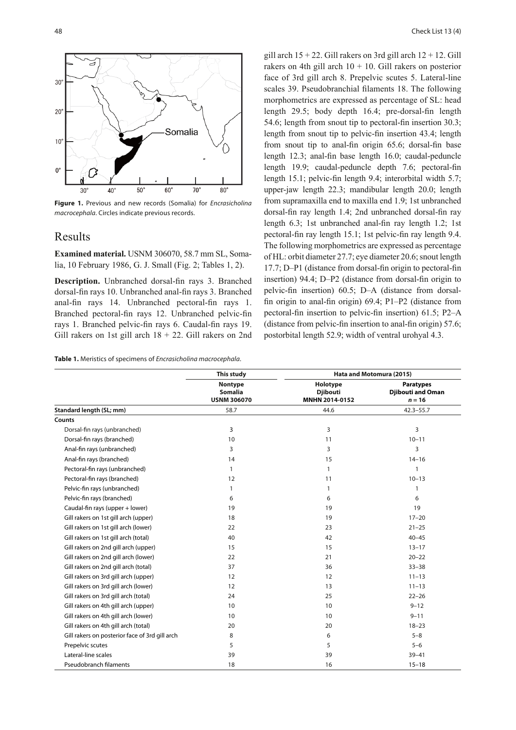

**Figure 1.** Previous and new records (Somalia) for *Encrasicholina macrocephala*. Circles indicate previous records.

#### Results

**Examined material.** USNM 306070, 58.7 mm SL, Somalia, 10 February 1986, G. J. Small (Fig. 2; Tables 1, 2).

**Description.** Unbranched dorsal-fin rays 3. Branched dorsal-fin rays 10. Unbranched anal-fin rays 3. Branched anal-fin rays 14. Unbranched pectoral-fin rays 1. Branched pectoral-fin rays 12. Unbranched pelvic-fin rays 1. Branched pelvic-fin rays 6. Caudal-fin rays 19. Gill rakers on 1st gill arch  $18 + 22$ . Gill rakers on 2nd

**Table 1.** Meristics of specimens of *Encrasicholina macrocephala*.

gill arch  $15 + 22$ . Gill rakers on 3rd gill arch  $12 + 12$ . Gill rakers on 4th gill arch  $10 + 10$ . Gill rakers on posterior face of 3rd gill arch 8. Prepelvic scutes 5. Lateral-line scales 39. Pseudobranchial filaments 18. The following morphometrics are expressed as percentage of SL: head length 29.5; body depth 16.4; pre-dorsal-fin length 54.6; length from snout tip to pectoral-fin insertion 30.3; length from snout tip to pelvic-fin insertion 43.4; length from snout tip to anal-fin origin 65.6; dorsal-fin base length 12.3; anal-fin base length 16.0; caudal-peduncle length 19.9; caudal-peduncle depth 7.6; pectoral-fin length 15.1; pelvic-fin length 9.4; interorbital width 5.7; upper-jaw length 22.3; mandibular length 20.0; length from supramaxilla end to maxilla end 1.9; 1st unbranched dorsal-fin ray length 1.4; 2nd unbranched dorsal-fin ray length 6.3; 1st unbranched anal-fin ray length 1.2; 1st pectoral-fin ray length 15.1; 1st pelvic-fin ray length 9.4. The following morphometrics are expressed as percentage of HL: orbit diameter 27.7; eye diameter 20.6; snout length 17.7; D–P1 (distance from dorsal-fin origin to pectoral-fin insertion) 94.4; D–P2 (distance from dorsal-fin origin to pelvic-fin insertion) 60.5; D–A (distance from dorsalfin origin to anal-fin origin) 69.4; P1–P2 (distance from pectoral-fin insertion to pelvic-fin insertion) 61.5; P2–A (distance from pelvic-fin insertion to anal-fin origin) 57.6; postorbital length 52.9; width of ventral urohyal 4.3.

|                                                | This study<br>Nontype<br><b>Somalia</b><br><b>USNM 306070</b> | Hata and Motomura (2015)                      |                                                          |
|------------------------------------------------|---------------------------------------------------------------|-----------------------------------------------|----------------------------------------------------------|
|                                                |                                                               | Holotype<br><b>Djibouti</b><br>MNHN 2014-0152 | <b>Paratypes</b><br><b>Djibouti and Oman</b><br>$n = 16$ |
| Standard length (SL; mm)                       | 58.7                                                          | 44.6                                          | $42.3 - 55.7$                                            |
| <b>Counts</b>                                  |                                                               |                                               |                                                          |
| Dorsal-fin rays (unbranched)                   | 3                                                             | 3                                             | 3                                                        |
| Dorsal-fin rays (branched)                     | 10                                                            | 11                                            | $10 - 11$                                                |
| Anal-fin rays (unbranched)                     | 3                                                             | 3                                             | 3                                                        |
| Anal-fin rays (branched)                       | 14                                                            | 15                                            | $14 - 16$                                                |
| Pectoral-fin rays (unbranched)                 | $\mathbf{1}$                                                  | 1                                             | $\mathbf{1}$                                             |
| Pectoral-fin rays (branched)                   | 12                                                            | 11                                            | $10 - 13$                                                |
| Pelvic-fin rays (unbranched)                   | $\mathbf{1}$                                                  | 1                                             | $\mathbf{1}$                                             |
| Pelvic-fin rays (branched)                     | 6                                                             | 6                                             | 6                                                        |
| Caudal-fin rays (upper + lower)                | 19                                                            | 19                                            | 19                                                       |
| Gill rakers on 1st gill arch (upper)           | 18                                                            | 19                                            | $17 - 20$                                                |
| Gill rakers on 1st gill arch (lower)           | 22                                                            | 23                                            | $21 - 25$                                                |
| Gill rakers on 1st gill arch (total)           | 40                                                            | 42                                            | $40 - 45$                                                |
| Gill rakers on 2nd gill arch (upper)           | 15                                                            | 15                                            | $13 - 17$                                                |
| Gill rakers on 2nd gill arch (lower)           | 22                                                            | 21                                            | $20 - 22$                                                |
| Gill rakers on 2nd gill arch (total)           | 37                                                            | 36                                            | $33 - 38$                                                |
| Gill rakers on 3rd gill arch (upper)           | 12                                                            | 12                                            | $11 - 13$                                                |
| Gill rakers on 3rd gill arch (lower)           | 12                                                            | 13                                            | $11 - 13$                                                |
| Gill rakers on 3rd gill arch (total)           | 24                                                            | 25                                            | $22 - 26$                                                |
| Gill rakers on 4th gill arch (upper)           | 10                                                            | 10                                            | $9 - 12$                                                 |
| Gill rakers on 4th gill arch (lower)           | 10                                                            | 10                                            | $9 - 11$                                                 |
| Gill rakers on 4th gill arch (total)           | 20                                                            | 20                                            | $18 - 23$                                                |
| Gill rakers on posterior face of 3rd gill arch | 8                                                             | 6                                             | $5 - 8$                                                  |
| Prepelvic scutes                               | 5                                                             | 5                                             | $5 - 6$                                                  |
| Lateral-line scales                            | 39                                                            | 39                                            | $39 - 41$                                                |
| <b>Pseudobranch filaments</b>                  | 18                                                            | 16                                            | $15 - 18$                                                |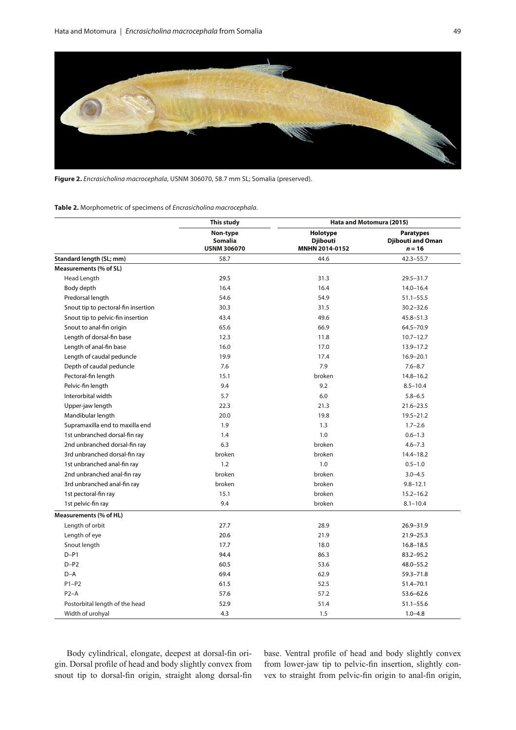

**Figure 2.** *Encrasicholina macrocephala*, USNM 306070, 58.7 mm SL; Somalia (preserved).

**Table 2.** Morphometric of specimens of *Encrasicholina macrocephala*.

|                                     | This study<br>Non-type<br>Somalia<br><b>USNM 306070</b> | Hata and Motomura (2015)                      |                                                          |
|-------------------------------------|---------------------------------------------------------|-----------------------------------------------|----------------------------------------------------------|
|                                     |                                                         | Holotype<br><b>Djibouti</b><br>MNHN 2014-0152 | <b>Paratypes</b><br><b>Djibouti and Oman</b><br>$n = 16$ |
| Standard length (SL; mm)            | 58.7                                                    | 44.6                                          | $42.3 - 55.7$                                            |
| Measurements (% of SL)              |                                                         |                                               |                                                          |
| Head Length                         | 29.5                                                    | 31.3                                          | $29.5 - 31.7$                                            |
| Body depth                          | 16.4                                                    | 16.4                                          | $14.0 - 16.4$                                            |
| Predorsal length                    | 54.6                                                    | 54.9                                          | $51.1 - 55.5$                                            |
| Snout tip to pectoral-fin insertion | 30.3                                                    | 31.5                                          | $30.2 - 32.6$                                            |
| Snout tip to pelvic-fin insertion   | 43.4                                                    | 49.6                                          | $45.8 - 51.3$                                            |
| Snout to anal-fin origin            | 65.6                                                    | 66.9                                          | $64.5 - 70.9$                                            |
| Length of dorsal-fin base           | 12.3                                                    | 11.8                                          | $10.7 - 12.7$                                            |
| Length of anal-fin base             | 16.0                                                    | 17.0                                          | $13.9 - 17.2$                                            |
| Length of caudal peduncle           | 19.9                                                    | 17.4                                          | $16.9 - 20.1$                                            |
| Depth of caudal peduncle            | 7.6                                                     | 7.9                                           | $7.6 - 8.7$                                              |
| Pectoral-fin length                 | 15.1                                                    | broken                                        | $14.8 - 16.2$                                            |
| Pelvic-fin length                   | 9.4                                                     | 9.2                                           | $8.5 - 10.4$                                             |
| Interorbital width                  | 5.7                                                     | 6.0                                           | $5.8 - 6.5$                                              |
| Upper-jaw length                    | 22.3                                                    | 21.3                                          | $21.6 - 23.5$                                            |
| Mandibular length                   | 20.0                                                    | 19.8                                          | $19.5 - 21.2$                                            |
| Supramaxilla end to maxilla end     | 1.9                                                     | 1.3                                           | $1.7 - 2.6$                                              |
| 1st unbranched dorsal-fin ray       | 1.4                                                     | 1.0                                           | $0.6 - 1.3$                                              |
| 2nd unbranched dorsal-fin ray       | 6.3                                                     | broken                                        | $4.6 - 7.3$                                              |
| 3rd unbranched dorsal-fin ray       | broken                                                  | broken                                        | $14.4 - 18.2$                                            |
| 1st unbranched anal-fin ray         | 1.2                                                     | 1.0                                           | $0.5 - 1.0$                                              |
| 2nd unbranched anal-fin ray         | broken                                                  | broken                                        | $3.0 - 4.5$                                              |
| 3rd unbranched anal-fin ray         | broken                                                  | broken                                        | $9.8 - 12.1$                                             |
| 1st pectoral-fin ray                | 15.1                                                    | broken                                        | $15.2 - 16.2$                                            |
| 1st pelvic-fin ray                  | 9.4                                                     | broken                                        | $8.1 - 10.4$                                             |
| Measurements (% of HL)              |                                                         |                                               |                                                          |
| Length of orbit                     | 27.7                                                    | 28.9                                          | 26.9-31.9                                                |
| Length of eye                       | 20.6                                                    | 21.9                                          | $21.9 - 25.3$                                            |
| Snout length                        | 17.7                                                    | 18.0                                          | $16.8 - 18.5$                                            |
| $D - P1$                            | 94.4                                                    | 86.3                                          | $83.2 - 95.2$                                            |
| $D-P2$                              | 60.5                                                    | 53.6                                          | $48.0 - 55.2$                                            |
| $D-A$                               | 69.4                                                    | 62.9                                          | $59.3 - 71.8$                                            |
| $P1-P2$                             | 61.5                                                    | 52.5                                          | $51.4 - 70.1$                                            |
| $P2-A$                              | 57.6                                                    | 57.2                                          | $53.6 - 62.6$                                            |
| Postorbital length of the head      | 52.9                                                    | 51.4                                          | $51.1 - 55.6$                                            |
| Width of urohyal                    | 4.3                                                     | 1.5                                           | $1.0 - 4.8$                                              |

Body cylindrical, elongate, deepest at dorsal-fin origin. Dorsal profile of head and body slightly convex from snout tip to dorsal-fin origin, straight along dorsal-fin base. Ventral profile of head and body slightly convex from lower-jaw tip to pelvic-fin insertion, slightly convex to straight from pelvic-fin origin to anal-fin origin,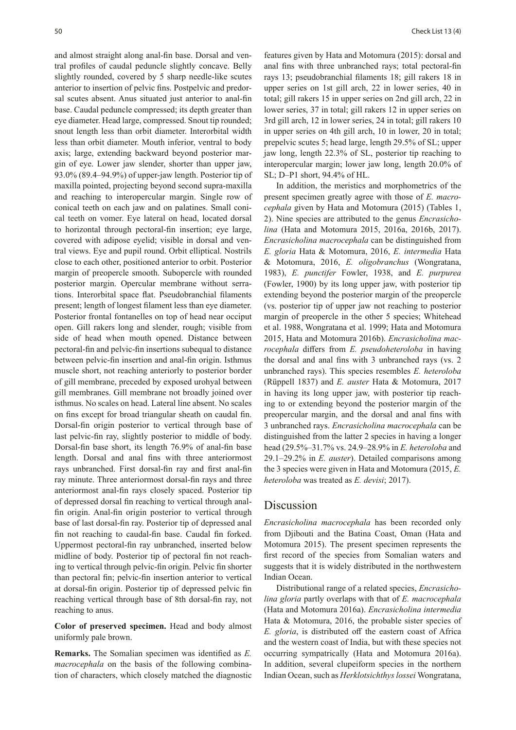and almost straight along anal-fin base. Dorsal and ventral profiles of caudal peduncle slightly concave. Belly slightly rounded, covered by 5 sharp needle-like scutes anterior to insertion of pelvic fins. Postpelvic and predorsal scutes absent. Anus situated just anterior to anal-fin base. Caudal peduncle compressed; its depth greater than eye diameter. Head large, compressed. Snout tip rounded; snout length less than orbit diameter. Interorbital width less than orbit diameter. Mouth inferior, ventral to body axis; large, extending backward beyond posterior margin of eye. Lower jaw slender, shorter than upper jaw, 93.0% (89.4–94.9%) of upper-jaw length. Posterior tip of maxilla pointed, projecting beyond second supra-maxilla and reaching to interopercular margin. Single row of conical teeth on each jaw and on palatines. Small conical teeth on vomer. Eye lateral on head, located dorsal to horizontal through pectoral-fin insertion; eye large, covered with adipose eyelid; visible in dorsal and ventral views. Eye and pupil round. Orbit elliptical. Nostrils close to each other, positioned anterior to orbit. Posterior margin of preopercle smooth. Subopercle with rounded posterior margin. Opercular membrane without serrations. Interorbital space flat. Pseudobranchial filaments present; length of longest filament less than eye diameter. Posterior frontal fontanelles on top of head near occiput open. Gill rakers long and slender, rough; visible from side of head when mouth opened. Distance between pectoral-fin and pelvic-fin insertions subequal to distance between pelvic-fin insertion and anal-fin origin. Isthmus muscle short, not reaching anteriorly to posterior border of gill membrane, preceded by exposed urohyal between gill membranes. Gill membrane not broadly joined over isthmus. No scales on head. Lateral line absent. No scales on fins except for broad triangular sheath on caudal fin. Dorsal-fin origin posterior to vertical through base of last pelvic-fin ray, slightly posterior to middle of body. Dorsal-fin base short, its length 76.9% of anal-fin base length. Dorsal and anal fins with three anteriormost rays unbranched. First dorsal-fin ray and first anal-fin ray minute. Three anteriormost dorsal-fin rays and three anteriormost anal-fin rays closely spaced. Posterior tip of depressed dorsal fin reaching to vertical through analfin origin. Anal-fin origin posterior to vertical through base of last dorsal-fin ray. Posterior tip of depressed anal fin not reaching to caudal-fin base. Caudal fin forked. Uppermost pectoral-fin ray unbranched, inserted below midline of body. Posterior tip of pectoral fin not reaching to vertical through pelvic-fin origin. Pelvic fin shorter than pectoral fin; pelvic-fin insertion anterior to vertical at dorsal-fin origin. Posterior tip of depressed pelvic fin reaching vertical through base of 8th dorsal-fin ray, not reaching to anus.

**Color of preserved specimen.** Head and body almost uniformly pale brown.

**Remarks.** The Somalian specimen was identified as *E. macrocephala* on the basis of the following combination of characters, which closely matched the diagnostic

features given by Hata and Motomura (2015): dorsal and anal fins with three unbranched rays; total pectoral-fin rays 13; pseudobranchial filaments 18; gill rakers 18 in upper series on 1st gill arch, 22 in lower series, 40 in total; gill rakers 15 in upper series on 2nd gill arch, 22 in lower series, 37 in total; gill rakers 12 in upper series on 3rd gill arch, 12 in lower series, 24 in total; gill rakers 10 in upper series on 4th gill arch, 10 in lower, 20 in total; prepelvic scutes 5; head large, length 29.5% of SL; upper jaw long, length 22.3% of SL, posterior tip reaching to interopercular margin; lower jaw long, length 20.0% of SL; D–P1 short, 94.4% of HL.

In addition, the meristics and morphometrics of the present specimen greatly agree with those of *E. macrocephala* given by Hata and Motomura (2015) (Tables 1, 2). Nine species are attributed to the genus *Encrasicholina* (Hata and Motomura 2015, 2016a, 2016b, 2017). *Encrasicholina macrocephala* can be distinguished from *E. gloria* Hata & Motomura, 2016, *E. intermedia* Hata & Motomura, 2016, *E. oligobranchus* (Wongratana, 1983), *E. punctifer* Fowler, 1938, and *E. purpurea* (Fowler, 1900) by its long upper jaw, with posterior tip extending beyond the posterior margin of the preopercle (vs. posterior tip of upper jaw not reaching to posterior margin of preopercle in the other 5 species; Whitehead et al. 1988, Wongratana et al. 1999; Hata and Motomura 2015, Hata and Motomura 2016b). *Encrasicholina macrocephala* differs from *E. pseudoheteroloba* in having the dorsal and anal fins with 3 unbranched rays (vs. 2 unbranched rays). This species resembles *E. heteroloba* (Rüppell 1837) and *E. auster* Hata & Motomura, 2017 in having its long upper jaw, with posterior tip reaching to or extending beyond the posterior margin of the preopercular margin, and the dorsal and anal fins with 3 unbranched rays. *Encrasicholina macrocephala* can be distinguished from the latter 2 species in having a longer head (29.5%–31.7% vs. 24.9–28.9% in *E. heteroloba* and 29.1–29.2% in *E. auster*). Detailed comparisons among the 3 species were given in Hata and Motomura (2015, *E. heteroloba* was treated as *E. devisi*; 2017).

#### Discussion

*Encrasicholina macrocephala* has been recorded only from Djibouti and the Batina Coast, Oman (Hata and Motomura 2015). The present specimen represents the first record of the species from Somalian waters and suggests that it is widely distributed in the northwestern Indian Ocean.

Distributional range of a related species, *Encrasicholina gloria* partly overlaps with that of *E. macrocephala* (Hata and Motomura 2016a). *Encrasicholina intermedia* Hata & Motomura, 2016, the probable sister species of *E. gloria*, is distributed off the eastern coast of Africa and the western coast of India, but with these species not occurring sympatrically (Hata and Motomura 2016a). In addition, several clupeiform species in the northern Indian Ocean, such as *Herklotsichthys lossei* Wongratana,